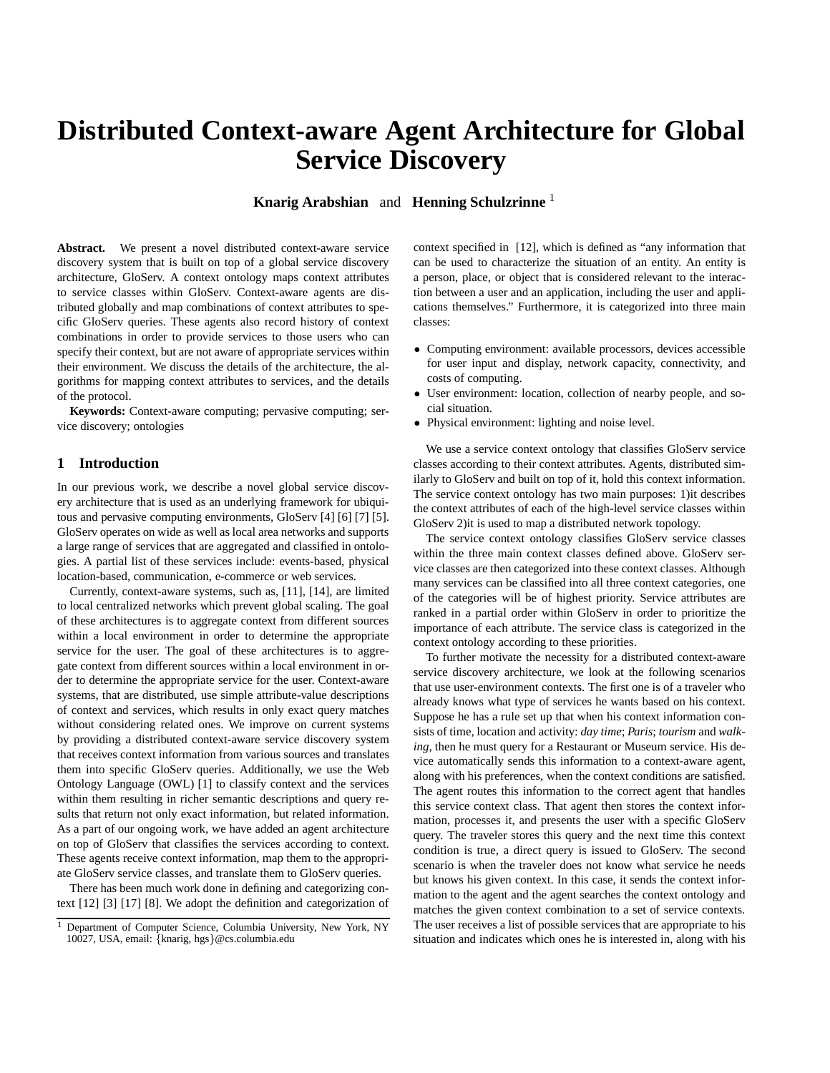# **Distributed Context-aware Agent Architecture for Global Service Discovery**

**Knarig Arabshian** and **Henning Schulzrinne** <sup>1</sup>

**Abstract.** We present a novel distributed context-aware service discovery system that is built on top of a global service discovery architecture, GloServ. A context ontology maps context attributes to service classes within GloServ. Context-aware agents are distributed globally and map combinations of context attributes to specific GloServ queries. These agents also record history of context combinations in order to provide services to those users who can specify their context, but are not aware of appropriate services within their environment. We discuss the details of the architecture, the algorithms for mapping context attributes to services, and the details of the protocol.

**Keywords:** Context-aware computing; pervasive computing; service discovery; ontologies

### **1 Introduction**

In our previous work, we describe a novel global service discovery architecture that is used as an underlying framework for ubiquitous and pervasive computing environments, GloServ [4] [6] [7] [5]. GloServ operates on wide as well as local area networks and supports a large range of services that are aggregated and classified in ontologies. A partial list of these services include: events-based, physical location-based, communication, e-commerce or web services.

Currently, context-aware systems, such as, [11], [14], are limited to local centralized networks which prevent global scaling. The goal of these architectures is to aggregate context from different sources within a local environment in order to determine the appropriate service for the user. The goal of these architectures is to aggregate context from different sources within a local environment in order to determine the appropriate service for the user. Context-aware systems, that are distributed, use simple attribute-value descriptions of context and services, which results in only exact query matches without considering related ones. We improve on current systems by providing a distributed context-aware service discovery system that receives context information from various sources and translates them into specific GloServ queries. Additionally, we use the Web Ontology Language (OWL) [1] to classify context and the services within them resulting in richer semantic descriptions and query results that return not only exact information, but related information. As a part of our ongoing work, we have added an agent architecture on top of GloServ that classifies the services according to context. These agents receive context information, map them to the appropriate GloServ service classes, and translate them to GloServ queries.

There has been much work done in defining and categorizing context [12] [3] [17] [8]. We adopt the definition and categorization of

context specified in [12], which is defined as "any information that can be used to characterize the situation of an entity. An entity is a person, place, or object that is considered relevant to the interaction between a user and an application, including the user and applications themselves." Furthermore, it is categorized into three main classes:

- Computing environment: available processors, devices accessible for user input and display, network capacity, connectivity, and costs of computing.
- User environment: location, collection of nearby people, and social situation.
- Physical environment: lighting and noise level.

We use a service context ontology that classifies GloServ service classes according to their context attributes. Agents, distributed similarly to GloServ and built on top of it, hold this context information. The service context ontology has two main purposes: 1)it describes the context attributes of each of the high-level service classes within GloServ 2)it is used to map a distributed network topology.

The service context ontology classifies GloServ service classes within the three main context classes defined above. GloServ service classes are then categorized into these context classes. Although many services can be classified into all three context categories, one of the categories will be of highest priority. Service attributes are ranked in a partial order within GloServ in order to prioritize the importance of each attribute. The service class is categorized in the context ontology according to these priorities.

To further motivate the necessity for a distributed context-aware service discovery architecture, we look at the following scenarios that use user-environment contexts. The first one is of a traveler who already knows what type of services he wants based on his context. Suppose he has a rule set up that when his context information consists of time, location and activity: *day time*; *Paris*; *tourism* and *walking*, then he must query for a Restaurant or Museum service. His device automatically sends this information to a context-aware agent, along with his preferences, when the context conditions are satisfied. The agent routes this information to the correct agent that handles this service context class. That agent then stores the context information, processes it, and presents the user with a specific GloServ query. The traveler stores this query and the next time this context condition is true, a direct query is issued to GloServ. The second scenario is when the traveler does not know what service he needs but knows his given context. In this case, it sends the context information to the agent and the agent searches the context ontology and matches the given context combination to a set of service contexts. The user receives a list of possible services that are appropriate to his situation and indicates which ones he is interested in, along with his

<sup>&</sup>lt;sup>1</sup> Department of Computer Science, Columbia University, New York, NY 10027, USA, email: {knarig, hgs}@cs.columbia.edu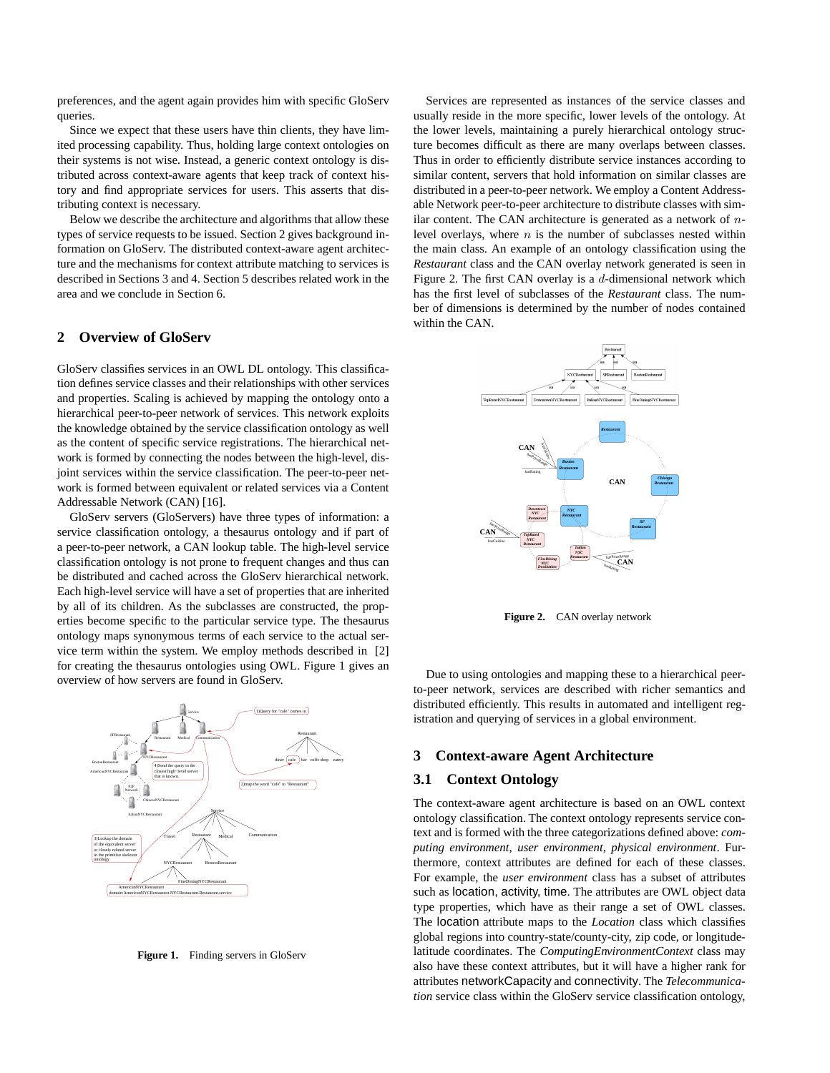preferences, and the agent again provides him with specific GloServ queries.

Since we expect that these users have thin clients, they have limited processing capability. Thus, holding large context ontologies on their systems is not wise. Instead, a generic context ontology is distributed across context-aware agents that keep track of context history and find appropriate services for users. This asserts that distributing context is necessary.

Below we describe the architecture and algorithms that allow these types of service requests to be issued. Section 2 gives background information on GloServ. The distributed context-aware agent architecture and the mechanisms for context attribute matching to services is described in Sections 3 and 4. Section 5 describes related work in the area and we conclude in Section 6.

# **2 Overview of GloServ**

GloServ classifies services in an OWL DL ontology. This classification defines service classes and their relationships with other services and properties. Scaling is achieved by mapping the ontology onto a hierarchical peer-to-peer network of services. This network exploits the knowledge obtained by the service classification ontology as well as the content of specific service registrations. The hierarchical network is formed by connecting the nodes between the high-level, disjoint services within the service classification. The peer-to-peer network is formed between equivalent or related services via a Content Addressable Network (CAN) [16].

GloServ servers (GloServers) have three types of information: a service classification ontology, a thesaurus ontology and if part of a peer-to-peer network, a CAN lookup table. The high-level service classification ontology is not prone to frequent changes and thus can be distributed and cached across the GloServ hierarchical network. Each high-level service will have a set of properties that are inherited by all of its children. As the subclasses are constructed, the properties become specific to the particular service type. The thesaurus ontology maps synonymous terms of each service to the actual service term within the system. We employ methods described in [2] for creating the thesaurus ontologies using OWL. Figure 1 gives an overview of how servers are found in GloServ.



Figure 1. Finding servers in GloServ

Services are represented as instances of the service classes and usually reside in the more specific, lower levels of the ontology. At the lower levels, maintaining a purely hierarchical ontology structure becomes difficult as there are many overlaps between classes. Thus in order to efficiently distribute service instances according to similar content, servers that hold information on similar classes are distributed in a peer-to-peer network. We employ a Content Addressable Network peer-to-peer architecture to distribute classes with similar content. The CAN architecture is generated as a network of  $n$ level overlays, where  $n$  is the number of subclasses nested within the main class. An example of an ontology classification using the *Restaurant* class and the CAN overlay network generated is seen in Figure 2. The first CAN overlay is a  $d$ -dimensional network which has the first level of subclasses of the *Restaurant* class. The number of dimensions is determined by the number of nodes contained within the CAN.



**Figure 2.** CAN overlay network

Due to using ontologies and mapping these to a hierarchical peerto-peer network, services are described with richer semantics and distributed efficiently. This results in automated and intelligent registration and querying of services in a global environment.

#### **3 Context-aware Agent Architecture**

#### **3.1 Context Ontology**

The context-aware agent architecture is based on an OWL context ontology classification. The context ontology represents service context and is formed with the three categorizations defined above: *computing environment, user environment, physical environment*. Furthermore, context attributes are defined for each of these classes. For example, the *user environment* class has a subset of attributes such as location, activity, time. The attributes are OWL object data type properties, which have as their range a set of OWL classes. The location attribute maps to the *Location* class which classifies global regions into country-state/county-city, zip code, or longitudelatitude coordinates. The *ComputingEnvironmentContext* class may also have these context attributes, but it will have a higher rank for attributes networkCapacity and connectivity. The *Telecommunication* service class within the GloServ service classification ontology,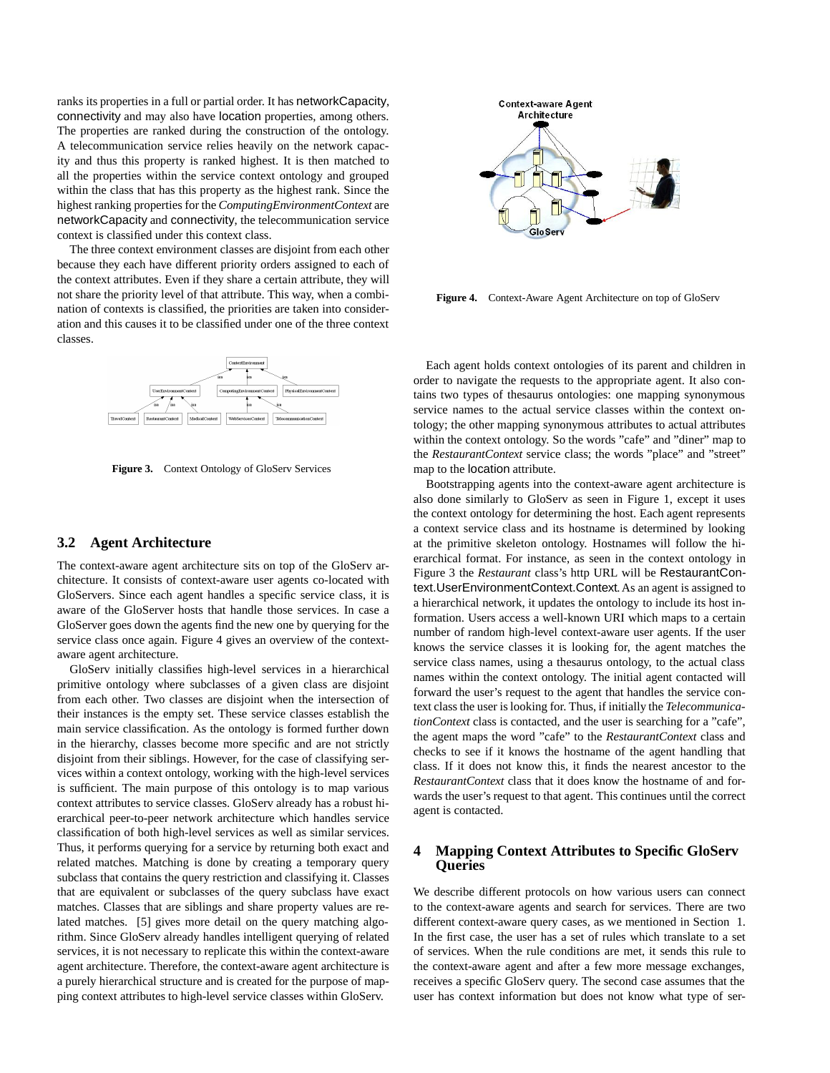ranks its properties in a full or partial order. It has networkCapacity, connectivity and may also have location properties, among others. The properties are ranked during the construction of the ontology. A telecommunication service relies heavily on the network capacity and thus this property is ranked highest. It is then matched to all the properties within the service context ontology and grouped within the class that has this property as the highest rank. Since the highest ranking properties for the *ComputingEnvironmentContext* are networkCapacity and connectivity, the telecommunication service context is classified under this context class.

The three context environment classes are disjoint from each other because they each have different priority orders assigned to each of the context attributes. Even if they share a certain attribute, they will not share the priority level of that attribute. This way, when a combination of contexts is classified, the priorities are taken into consideration and this causes it to be classified under one of the three context classes.



**Figure 3.** Context Ontology of GloServ Services

#### **3.2 Agent Architecture**

The context-aware agent architecture sits on top of the GloServ architecture. It consists of context-aware user agents co-located with GloServers. Since each agent handles a specific service class, it is aware of the GloServer hosts that handle those services. In case a GloServer goes down the agents find the new one by querying for the service class once again. Figure 4 gives an overview of the contextaware agent architecture.

GloServ initially classifies high-level services in a hierarchical primitive ontology where subclasses of a given class are disjoint from each other. Two classes are disjoint when the intersection of their instances is the empty set. These service classes establish the main service classification. As the ontology is formed further down in the hierarchy, classes become more specific and are not strictly disjoint from their siblings. However, for the case of classifying services within a context ontology, working with the high-level services is sufficient. The main purpose of this ontology is to map various context attributes to service classes. GloServ already has a robust hierarchical peer-to-peer network architecture which handles service classification of both high-level services as well as similar services. Thus, it performs querying for a service by returning both exact and related matches. Matching is done by creating a temporary query subclass that contains the query restriction and classifying it. Classes that are equivalent or subclasses of the query subclass have exact matches. Classes that are siblings and share property values are related matches. [5] gives more detail on the query matching algorithm. Since GloServ already handles intelligent querying of related services, it is not necessary to replicate this within the context-aware agent architecture. Therefore, the context-aware agent architecture is a purely hierarchical structure and is created for the purpose of mapping context attributes to high-level service classes within GloServ.



**Figure 4.** Context-Aware Agent Architecture on top of GloServ

Each agent holds context ontologies of its parent and children in order to navigate the requests to the appropriate agent. It also contains two types of thesaurus ontologies: one mapping synonymous service names to the actual service classes within the context ontology; the other mapping synonymous attributes to actual attributes within the context ontology. So the words "cafe" and "diner" map to the *RestaurantContext* service class; the words "place" and "street" map to the location attribute.

Bootstrapping agents into the context-aware agent architecture is also done similarly to GloServ as seen in Figure 1, except it uses the context ontology for determining the host. Each agent represents a context service class and its hostname is determined by looking at the primitive skeleton ontology. Hostnames will follow the hierarchical format. For instance, as seen in the context ontology in Figure 3 the *Restaurant* class's http URL will be RestaurantContext.UserEnvironmentContext.Context. As an agent is assigned to a hierarchical network, it updates the ontology to include its host information. Users access a well-known URI which maps to a certain number of random high-level context-aware user agents. If the user knows the service classes it is looking for, the agent matches the service class names, using a thesaurus ontology, to the actual class names within the context ontology. The initial agent contacted will forward the user's request to the agent that handles the service context class the user is looking for. Thus, if initially the *TelecommunicationContext* class is contacted, and the user is searching for a "cafe", the agent maps the word "cafe" to the *RestaurantContext* class and checks to see if it knows the hostname of the agent handling that class. If it does not know this, it finds the nearest ancestor to the *RestaurantContext* class that it does know the hostname of and forwards the user's request to that agent. This continues until the correct agent is contacted.

## **4 Mapping Context Attributes to Specific GloServ Queries**

We describe different protocols on how various users can connect to the context-aware agents and search for services. There are two different context-aware query cases, as we mentioned in Section 1. In the first case, the user has a set of rules which translate to a set of services. When the rule conditions are met, it sends this rule to the context-aware agent and after a few more message exchanges, receives a specific GloServ query. The second case assumes that the user has context information but does not know what type of ser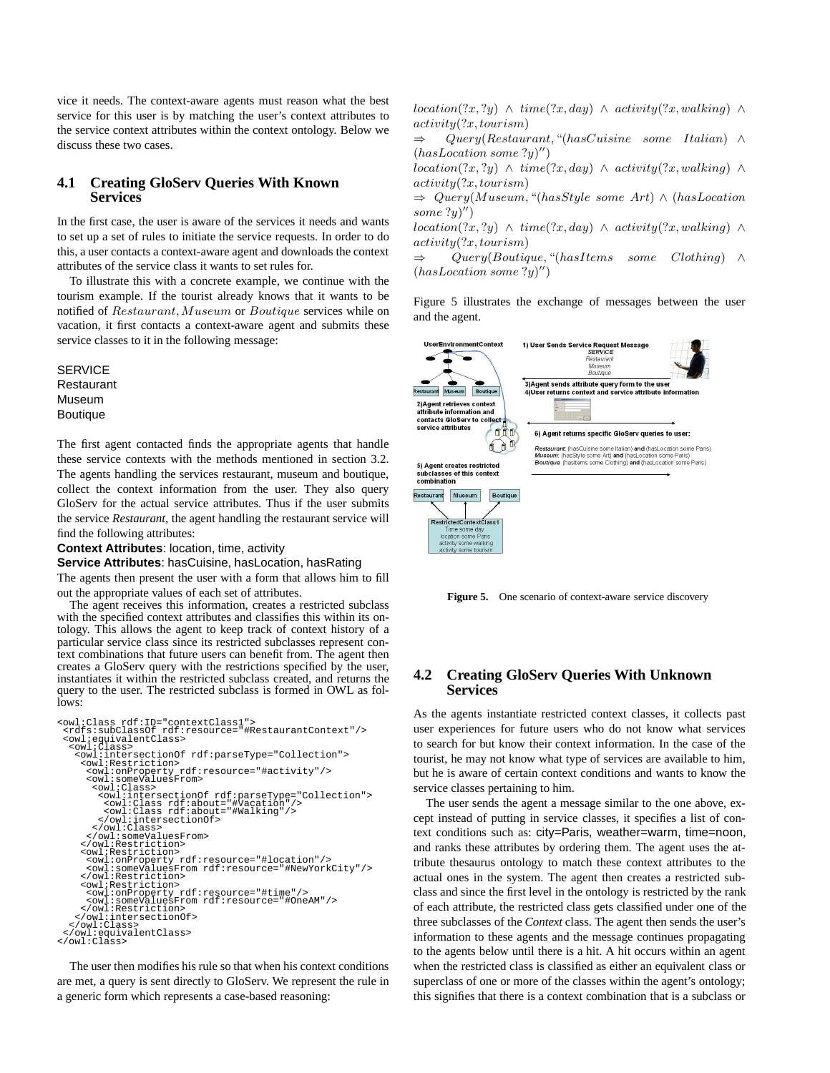vice it needs. The context-aware agents must reason what the best service for this user is by matching the user's context attributes to the service context attributes within the context ontology. Below we discuss these two cases.

## **4.1 Creating GloServ Queries With Known Services**

In the first case, the user is aware of the services it needs and wants to set up a set of rules to initiate the service requests. In order to do this, a user contacts a context-aware agent and downloads the context attributes of the service class it wants to set rules for.

To illustrate this with a concrete example, we continue with the tourism example. If the tourist already knows that it wants to be notified of Restaurant,Museum or Boutique services while on vacation, it first contacts a context-aware agent and submits these service classes to it in the following message:

**SERVICE** Restaurant Museum Boutique

The first agent contacted finds the appropriate agents that handle these service contexts with the methods mentioned in section 3.2. The agents handling the services restaurant, museum and boutique, collect the context information from the user. They also query GloServ for the actual service attributes. Thus if the user submits the service *Restaurant*, the agent handling the restaurant service will find the following attributes:

**Context Attributes**: location, time, activity

**Service Attributes**: hasCuisine, hasLocation, hasRating

The agents then present the user with a form that allows him to fill out the appropriate values of each set of attributes.

The agent receives this information, creates a restricted subclass with the specified context attributes and classifies this within its ontology. This allows the agent to keep track of context history of a particular service class since its restricted subclasses represent context combinations that future users can benefit from. The agent then creates a GloServ query with the restrictions specified by the user, instantiates it within the restricted subclass created, and returns the query to the user. The restricted subclass is formed in OWL as follows:

```
<owl:Class rdf:ID="contextClass1"><br><rdfs:subClassOf rdf:resource="#RestaurantContext"/><br><owl:equivalentClass><br><owl:Class>
     <owl:intersectionOf rdf:parseType="Collection">
       <owl:Restriction>
                                       rdf: resource="#activity"/>
         <owl:someValuesFrom>
<owl:Class>
             <owl:intersectionOf rdf:parseType="Collection">
<owl:Class rdf:about="#Vacation"/>
<owl:Class rdf:about="#Walking"/>
</owl:intersectionOf>
           </owl:Class>
       </owl:someValuesFrom>
</owl:Restriction>
       <owl:Restriction>
       <owl:onProperty rdf:resource="#location"/><br><owl:someValuesFrom rdf:resource="#NewYorkCity"/><br></owl:Restriction>
       <owl:Restriction>
       <owl:onProperty rdf:resource="#time"/><br><owl:someValuesFrom rdf:resource="#OneAM"/><br></owl:Restriction>
</owl:intersectionOf>
</owl:Class>
</owl:equivalentClass>
</owl:Class>
```
The user then modifies his rule so that when his context conditions are met, a query is sent directly to GloServ. We represent the rule in a generic form which represents a case-based reasoning:

location(?x, ?y) ∧ time(?x, day) ∧ activity(?x, walking) ∧ activity(?x, tourism)

⇒ Query(Restaurant, "(hasCuisine some Italian) ∧  $(hasLocation some ?y)$ ")

location(?x, ?y) ∧ time(?x, day) ∧ activity(?x, walking) ∧ activity(?x, tourism)

⇒ Query(Museum, "(hasStyle some Art) ∧ (hasLocation some ?y)")

location(?x, ?y) ∧ time(?x, day) ∧ activity(?x, walking) ∧ activity(?x, tourism)

⇒ Query(Boutique, "(hasItems some Clothing) ∧  $(hasLocation some ?y)$ ")

Figure 5 illustrates the exchange of messages between the user and the agent.



**Figure 5.** One scenario of context-aware service discovery

## **4.2 Creating GloServ Queries With Unknown Services**

As the agents instantiate restricted context classes, it collects past user experiences for future users who do not know what services to search for but know their context information. In the case of the tourist, he may not know what type of services are available to him, but he is aware of certain context conditions and wants to know the service classes pertaining to him.

The user sends the agent a message similar to the one above, except instead of putting in service classes, it specifies a list of context conditions such as: city=Paris, weather=warm, time=noon, and ranks these attributes by ordering them. The agent uses the attribute thesaurus ontology to match these context attributes to the actual ones in the system. The agent then creates a restricted subclass and since the first level in the ontology is restricted by the rank of each attribute, the restricted class gets classified under one of the three subclasses of the *Context* class. The agent then sends the user's information to these agents and the message continues propagating to the agents below until there is a hit. A hit occurs within an agent when the restricted class is classified as either an equivalent class or superclass of one or more of the classes within the agent's ontology; this signifies that there is a context combination that is a subclass or